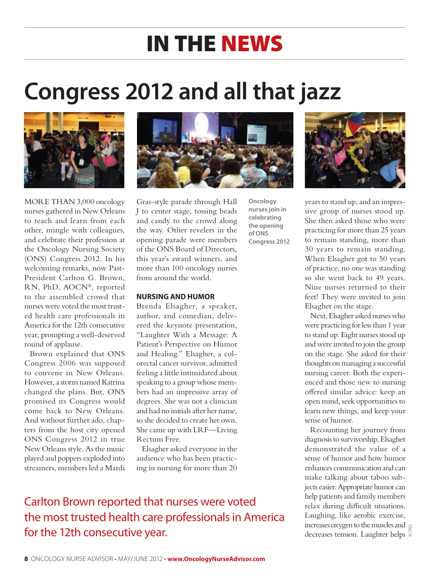# in the news

# **Congress 2012 and all that jazz**



MORE THAN 3,000 oncology nurses gathered in New Orleans to teach and learn from each other, mingle with colleagues, and celebrate their profession at the Oncology Nursing Society (ONS) Congress 2012. In his welcoming remarks, now Past-President Carlton G. Brown, RN, PhD, AOCN®, reported to the assembled crowd that nurses were voted the most trusted health care professionals in America for the 12th consecutive year, prompting a well-deserved round of applause.

Brown explained that ONS Congress 2006 was supposed to convene in New Orleans. However, a storm named Katrina changed the plans. But, ONS promised its Congress would come back to New Orleans. And without further ado, chapters from the host city opened ONS Congress 2012 in true New Orleans style. As the music played and poppers exploded into streamers, members led a Mardi



**Oncology nurses join in celebrating the opening of ONS Congress 2012**

Gras-style parade through Hall J to center stage, tossing beads and candy to the crowd along the way. Other revelers in the opening parade were members of the ONS Board of Directors, this year's award winners, and more than 100 oncology nurses from around the world.

#### **NURSING AND HUMOR**

Brenda Elsagher, a speaker, author, and comedian, delivered the keynote presentation, "Laughter With a Message: A Patient's Perspective on Humor and Healing." Elsagher, a colorectal cancer survivor, admitted feeling a little intimidated about speaking to a group whose members had an impressive array of degrees. She was not a clinician and had no initials after her name, so she decided to create her own. She came up with LRF—Living Rectum Free.

Elsagher asked everyone in the audience who has been practicing in nursing for more than 20

#### Carlton Brown reported that nurses were voted the most trusted health care professionals in America for the 12th consecutive year.



years to stand up, and an impressive group of nurses stood up. She then asked those who were practicing for more than 25 years to remain standing, more than 30 years to remain standing. When Elsagher got to 50 years of practice, no one was standing so she went back to 49 years. Nine nurses returned to their feet! They were invited to join Elsagher on the stage.

Next, Elsagher asked nurses who were practicing for less than 1 year to stand up. Eight nurses stood up and were invited to join the group on the stage. She asked for their thoughts on managing a successful nursing career. Both the experienced and those new to nursing offered similar advice: keep an open mind, seek opportunities to learn new things, and keep your sense of humor.

Recounting her journey from diagnosis to survivorship, Elsagher demonstrated the value of a sense of humor and how humor enhances communication and can make talking about taboo subjects easier. Appropriate humor can help patients and family members relax during difficult situations. Laughing, like aerobic exercise, increases oxygen to the muscles and  $\varphi$ nicreases oxygen to the muscles and g<br>decreases tension. Laughter helps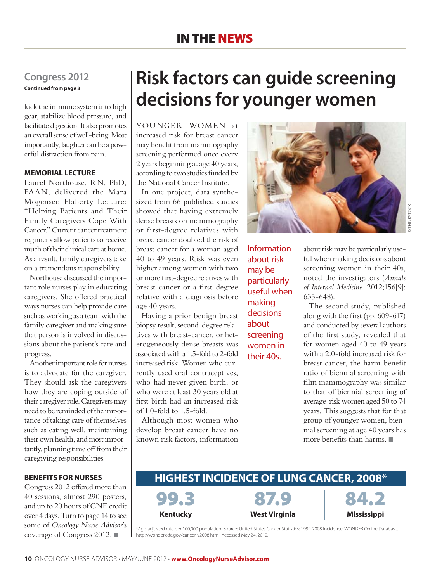#### in the news

#### **Congress 2012 Continued from page 8**

kick the immune system into high gear, stabilize blood pressure, and facilitate digestion. It also promotes an overall sense of well-being. Most importantly, laughter can be a powerful distraction from pain.

#### **MEMORIAL LECTURE**

Laurel Northouse, RN, PhD, FAAN, delivered the Mara Mogensen Flaherty Lecture: "Helping Patients and Their Family Caregivers Cope With Cancer." Current cancer treatment regimens allow patients to receive much of their clinical care at home. As a result, family caregivers take on a tremendous responsibility.

Northouse discussed the important role nurses play in educating caregivers. She offered practical ways nurses can help provide care such as working as a team with the family caregiver and making sure that person is involved in discussions about the patient's care and progress.

Another important role for nurses is to advocate for the caregiver. They should ask the caregivers how they are coping outside of their caregiver role. Caregivers may need to be reminded of the importance of taking care of themselves such as eating well, maintaining their own health, and most importantly, planning time off from their caregiving responsibilities.

#### **BENEFITS FOR NURSES**

Congress 2012 offered more than 40 sessions, almost 290 posters, and up to 20 hours of CNE credit over 4 days. Turn to page 14 to see some of *Oncology Nurse Advisor*'s coverage of Congress 2012. ■

## **Risk factors can guide screening decisions for younger women**

YOUNGER WOMEN at increased risk for breast cancer may benefit from mammography screening performed once every 2 years beginning at age 40 years, according to two studies funded by the National Cancer Institute.

In one project, data synthesized from 66 published studies showed that having extremely dense breasts on mammography or first-degree relatives with breast cancer doubled the risk of breast cancer for a woman aged 40 to 49 years. Risk was even higher among women with two or more first-degree relatives with breast cancer or a first-degree relative with a diagnosis before age 40 years.

Having a prior benign breast biopsy result, second-degree relatives with breast-cancer, or heterogeneously dense breasts was associated with a 1.5-fold to 2-fold increased risk. Women who currently used oral contraceptives, who had never given birth, or who were at least 30 years old at first birth had an increased risk of 1.0-fold to 1.5-fold.

Although most women who develop breast cancer have no known risk factors, information

Information about risk may be particularly useful when making decisions about screening women in their 40s.



© thinkstock INKSTOCH

about risk may be particularly useful when making decisions about screening women in their 40s, noted the investigators (*Annals of Internal Medicine*. 2012;156[9]: 635-648).

The second study, published along with the first (pp. 609-617) and conducted by several authors of the first study, revealed that for women aged 40 to 49 years with a 2.0-fold increased risk for breast cancer, the harm-benefit ratio of biennial screening with film mammography was similar to that of biennial screening of average-risk women aged 50 to 74 years. This suggests that for that group of younger women, biennial screening at age 40 years has more benefits than harms. ■

#### **Highest incidence of lung cancer, 2008\***



87.C **West Virginia**



\*Age-adjusted rate per 100,000 population. Source: United States Cancer Statistics: 1999-2008 Incidence, WONDER Online Database. http://wonder.cdc.gov/cancer-v2008.html. Accessed May 24, 2012.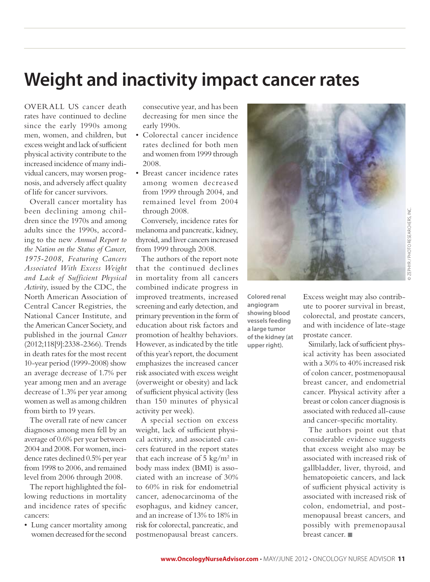## **Weight and inactivity impact cancer rates**

OVERALL US cancer death rates have continued to decline since the early 1990s among men, women, and children, but excess weight and lack of sufficient physical activity contribute to the increased incidence of many individual cancers, may worsen prognosis, and adversely affect quality of life for cancer survivors.

Overall cancer mortality has been declining among children since the 1970s and among adults since the 1990s, according to the new *Annual Report to the Nation on the Status of Cancer, 1975-2008, Featuring Cancers Associated With Excess Weight and Lack of Sufficient Physical Activity*, issued by the CDC, the North American Association of Central Cancer Registries, the National Cancer Institute, and the American Cancer Society, and published in the journal *Cancer* (2012;118[9]:2338-2366). Trends in death rates for the most recent 10-year period (1999-2008) show an average decrease of 1.7% per year among men and an average decrease of 1.3% per year among women as well as among children from birth to 19 years.

The overall rate of new cancer diagnoses among men fell by an average of 0.6% per year between 2004 and 2008. For women, incidence rates declined 0.5% per year from 1998 to 2006, and remained level from 2006 through 2008.

The report highlighted the following reductions in mortality and incidence rates of specific cancers:

• Lung cancer mortality among women decreased for the second consecutive year, and has been decreasing for men since the early 1990s.

- • Colorectal cancer incidence rates declined for both men and women from 1999 through 2008.
- • Breast cancer incidence rates among women decreased from 1999 through 2004, and remained level from 2004 through 2008.

Conversely, incidence rates for melanoma and pancreatic, kidney, thyroid, and liver cancers increased from 1999 through 2008.

The authors of the report note that the continued declines in mortality from all cancers combined indicate progress in improved treatments, increased screening and early detection, and primary prevention in the form of education about risk factors and promotion of healthy behaviors. However, as indicated by the title of this year's report, the document emphasizes the increased cancer risk associated with excess weight (overweight or obesity) and lack of sufficient physical activity (less than 150 minutes of physical activity per week).

A special section on excess weight, lack of sufficient physical activity, and associated cancers featured in the report states that each increase of  $5 \text{ kg/m}^2$  in body mass index (BMI) is associated with an increase of 30% to 60% in risk for endometrial cancer, adenocarcinoma of the esophagus, and kidney cancer, and an increase of 13% to 18% in risk for colorectal, pancreatic, and postmenopausal breast cancers.



**Colored renal angiogram showing blood vessels feeding a large tumor of the kidney (at upper right).**

Excess weight may also contribute to poorer survival in breast, colorectal, and prostate cancers, and with incidence of late-stage prostate cancer.

Similarly, lack of sufficient physical activity has been associated with a 30% to 40% increased risk of colon cancer, postmenopausal breast cancer, and endometrial cancer. Physical activity after a breast or colon cancer diagnosis is associated with reduced all-cause and cancer-specific mortality.

The authors point out that considerable evidence suggests that excess weight also may be associated with increased risk of gallbladder, liver, thyroid, and hematopoietic cancers, and lack of sufficient physical activity is associated with increased risk of colon, endometrial, and postmenopausal breast cancers, and possibly with premenopausal breast cancer. ■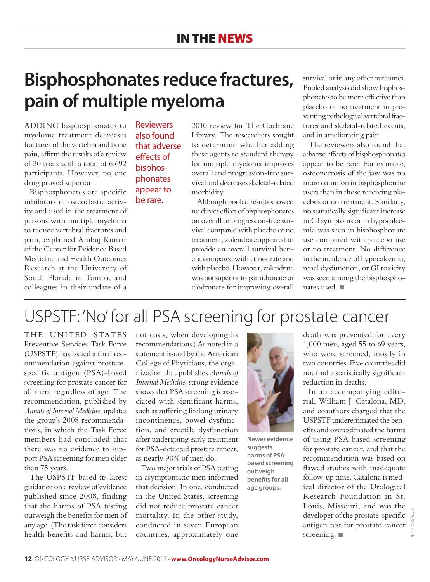### **Bisphosphonates reduce fractures, pain of multiple myeloma**

ADDING bisphosphonates to myeloma treatment decreases fractures of the vertebra and bone pain, affirm the results of a review of 20 trials with a total of 6,692 participants. However, no one drug proved superior.

Bisphosphonates are specific inhibitors of osteoclastic activity and used in the treatment of persons with multiple myeloma to reduce vertebral fractures and pain, explained Ambuj Kumar of the Center for Evidence Based Medicine and Health Outcomes Research at the University of South Florida in Tampa, and colleagues in their update of a

**Reviewers** also found that adverse effects of bisphosphonates appear to be rare.

2010 review for The Cochrane Library. The researchers sought to determine whether adding these agents to standard therapy for multiple myeloma improves overall and progression-free survival and decreases skeletal-related morbidity.

Although pooled results showed no direct effect of bisphosphonates on overall or progression-free survival compared with placebo or no treatment, zolendrate appeared to provide an overall survival benefit compared with etinodrate and with placebo. However, zolendrate was not superior to pamidronate or clodronate for improving overall survival or in any other outcomes. Pooled analysis did show bisphosphonates to be more effective than placebo or no treatment in preventing pathological vertebral fractures and skeletal-related events, and in ameliorating pain.

The reviewers also found that adverse effects of bisphosphonates appear to be rare. For example, osteonecrosis of the jaw was no more common in bisphosphonate users than in those receiving placebos or no treatment. Similarly, no statistically significant increase in GI symptoms or in hypocalcemia was seen in bisphosphonate use compared with placebo use or no treatment. No difference in the incidence of hypocalcemia, renal dysfunction, or GI toxicity was seen among the bisphosphonates used. ■

### USPSTF: 'No' for all PSA screening for prostate cancer

THE UNITED STATES Preventive Services Task Force (USPSTF) has issued a final recommendation against prostatespecific antigen (PSA)-based screening for prostate cancer for all men, regardless of age. The recommendation, published by *Annals of Internal Medicine*, updates the group's 2008 recommendations, in which the Task Force members had concluded that there was no evidence to support PSA screening for men older than 75 years.

The USPSTF based its latest guidance on a review of evidence published since 2008, finding that the harms of PSA testing outweigh the benefits for men of any age. (The task force considers health benefits and harms, but

not costs, when developing its recommendations.) As noted in a statement issued by the American College of Physicians, the organization that publishes *Annals of Internal Medicine,* strong evidence shows that PSA screening is associated with significant harms, such as suffering lifelong urinary incontinence, bowel dysfunction, and erectile dysfunction after undergoing early treatment for PSA-detected prostate cancer, as nearly 90% of men do.

Two major trials of PSA testing in asymptomatic men informed that decision. In one, conducted in the United States, screening did not reduce prostate cancer mortality. In the other study, conducted in seven European countries, approximately one



**Newer evidence suggests harms of PSAbased screening outweigh benefits for all age groups.**

death was prevented for every 1,000 men, aged 55 to 69 years, who were screened, mostly in two countries. Five countries did not find a statistically significant reduction in deaths.

In an accompanying editorial, William J. Catalona, MD, and coauthors charged that the USPSTF underestimated the benefits and overestimated the harms of using PSA-based screening for prostate cancer, and that the recommendation was based on flawed studies with inadequate follow-up time. Catalona is medical director of the Urological Research Foundation in St. Louis, Missouri, and was the developer of the prostate-specific antigen test for prostate cancer screening. ■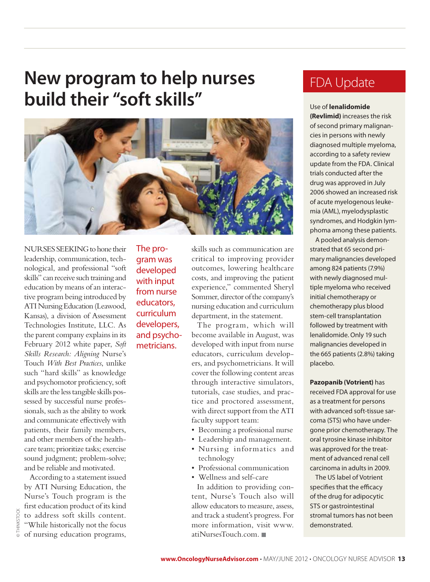### **New program to help nurses build their "soft skills"**



Nurses seeking to hone their leadership, communication, technological, and professional "soft skills" can receive such training and education by means of an interactive program being introduced by ATI Nursing Education (Leawood, Kansas), a division of Assessment Technologies Institute, LLC. As the parent company explains in its February 2012 white paper, *Soft Skills Research: Aligning* Nurse's Touch *With Best Practices*, unlike such "hard skills" as knowledge and psychomotor proficiency, soft skills are the less tangible skills possessed by successful nurse professionals, such as the ability to work and communicate effectively with patients, their family members, and other members of the healthcare team; prioritize tasks; exercise sound judgment; problem-solve; and be reliable and motivated.

According to a statement issued by ATI Nursing Education, the Nurse's Touch program is the first education product of its kind to address soft skills content. "While historically not the focus of nursing education programs, The program was developed with input from nurse educators, curriculum developers, and psychometricians.

skills such as communication are critical to improving provider outcomes, lowering healthcare costs, and improving the patient experience," commented Sheryl Sommer, director of the company's nursing education and curriculum department, in the statement.

The program, which will become available in August, was developed with input from nurse educators, curriculum developers, and psychometricians. It will cover the following content areas through interactive simulators, tutorials, case studies, and practice and proctored assessment, with direct support from the ATI faculty support team:

- Becoming a professional nurse
- • Leadership and management.
- • Nursing informatics and technology
- Professional communication
- • Wellness and self-care

In addition to providing content, Nurse's Touch also will allow educators to measure, assess, and track a student's progress. For more information, visit www. atiNursesTouch.com. ■

#### FDA Update

#### Use of **lenalidomide**

**(Revlimid)** increases the risk of second primary malignancies in persons with newly diagnosed multiple myeloma, according to a safety review update from the FDA. Clinical trials conducted after the drug was approved in July 2006 showed an increased risk of acute myelogenous leukemia (AML), myelodysplastic syndromes, and Hodgkin lymphoma among these patients.

A pooled analysis demonstrated that 65 second primary malignancies developed among 824 patients (7.9%) with newly diagnosed multiple myeloma who received initial chemotherapy or chemotherapy plus blood stem-cell transplantation followed by treatment with lenalidomide. Only 19 such malignancies developed in the 665 patients (2.8%) taking placebo.

**Pazopanib (Votrient)** has received FDA approval for use as a treatment for persons with advanced soft-tissue sarcoma (STS) who have undergone prior chemotherapy. The oral tyrosine kinase inhibitor was approved for the treatment of advanced renal cell carcinoma in adults in 2009.

The US label of Votrient specifies that the efficacy of the drug for adipocytic STS or gastrointestinal stromal tumors has not been demonstrated.

© thinkstock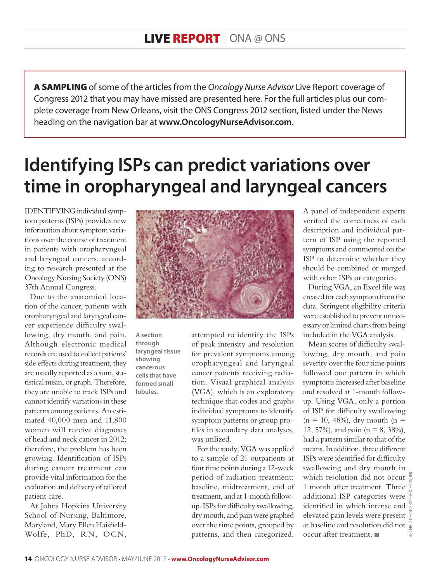A SAMPLING of some of the articles from the *Oncology Nurse Advisor* Live Report coverage of Congress 2012 that you may have missed are presented here. For the full articles plus our complete coverage from New Orleans, visit the ONS Congress 2012 section, listed under the News heading on the navigation bar at **www.OncologyNurseAdvisor.com**.

# **Identifying ISPs can predict variations over time in oropharyngeal and laryngeal cancers**

IDENTIFYING individual symptom patterns (ISPs) provides new information about symptom variations over the course of treatment in patients with oropharyngeal and laryngeal cancers, according to research presented at the Oncology Nursing Society (ONS) 37th Annual Congress.

Due to the anatomical location of the cancer, patients with oropharyngeal and laryngeal cancer experience difficulty swallowing, dry mouth, and pain. Although electronic medical records are used to collect patients' side effects during treatment, they are usually reported as a sum, statistical mean, or graph. Therefore, they are unable to track ISPs and cannot identify variations in these patterns among patients. An estimated 40,000 men and 11,800 women will receive diagnoses of head and neck cancer in 2012; therefore, the problem has been growing. Identification of ISPs during cancer treatment can provide vital information for the evaluation and delivery of tailored patient care.

At Johns Hopkins University School of Nursing, Baltimore, Maryland, Mary Ellen Haisfield-Wolfe, PhD, RN, OCN,



**A section through laryngeal tissue showing cancerous cells that have formed small lobules.**

attempted to identify the ISPs of peak intensity and resolution for prevalent symptoms among oropharyngeal and laryngeal cancer patients receiving radiation. Visual graphical analysis (VGA), which is an exploratory technique that codes and graphs individual symptoms to identify symptom patterns or group profiles in secondary data analyses, was utilized.

For the study, VGA was applied to a sample of 21 outpatients at four time points during a 12-week period of radiation treatment: baseline, midtreatment, end of treatment, and at 1-month followup. ISPs for difficulty swallowing, dry mouth, and pain were graphed over the time points, grouped by patterns, and then categorized. A panel of independent experts verified the correctness of each description and individual pattern of ISP using the reported symptoms and commented on the ISP to determine whether they should be combined or merged with other ISPs or categories.

During VGA, an Excel file was created for each symptom from the data. Stringent eligibility criteria were established to prevent unnecessary or limited charts from being included in the VGA analysis.

Mean scores of difficulty swallowing, dry mouth, and pain severity over the four time points followed one pattern in which symptoms increased after baseline and resolved at 1-month followup. Using VGA, only a portion of ISP for difficulty swallowing  $(n = 10, 48\%)$ , dry mouth  $(n =$ 12, 57%), and pain ( $n = 8$ , 38%), had a pattern similar to that of the means. In addition, three different ISPs were identified for difficulty swallowing and dry mouth in which resolution did not occur 1 month after treatment. Three  $\frac{m}{4}$ additional ISP categories were identified in which intense and  $\frac{a}{\circ}$ elevated pain levels were present at baseline and resolution did not occur after treatment. ■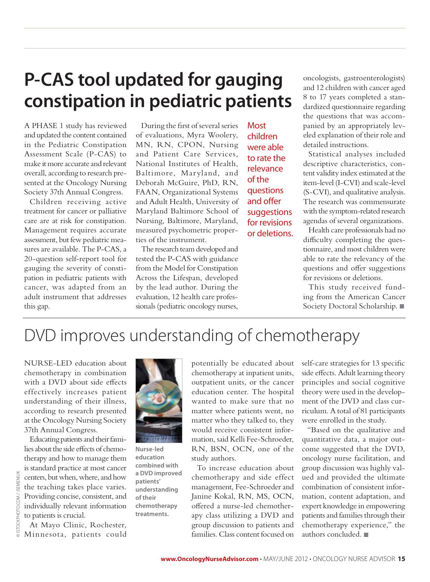# **P-CAS tool updated for gauging constipation in pediatric patients**

A phase 1 study has reviewed and updated the content contained in the Pediatric Constipation Assessment Scale (P-CAS) to make it more accurate and relevant overall, according to research presented at the Oncology Nursing Society 37th Annual Congress.

Children receiving active treatment for cancer or palliative care are at risk for constipation. Management requires accurate assessment, but few pediatric measures are available. The P-CAS, a 20-question self-report tool for gauging the severity of constipation in pediatric patients with cancer, was adapted from an adult instrument that addresses this gap.

During the first of several series of evaluations, Myra Woolery, MN, RN, CPON, Nursing and Patient Care Services, National Institutes of Health, Baltimore, Maryland, and Deborah McGuire, PhD, RN, FAAN, Organizational Systems and Adult Health, University of Maryland Baltimore School of Nursing, Baltimore, Maryland, measured psychometric properties of the instrument.

The research team developed and tested the P-CAS with guidance from the Model for Constipation Across the Lifespan, developed by the lead author. During the evaluation, 12 health care professionals (pediatric oncology nurses,

**Most** children were able to rate the relevance of the questions and offer suggestions for revisions or deletions. oncologists, gastroenterologists) and 12 children with cancer aged 8 to 17 years completed a standardized questionnaire regarding the questions that was accompanied by an appropriately leveled explanation of their role and detailed instructions.

Statistical analyses included descriptive characteristics, content validity index estimated at the item-level (I-CVI) and scale-level (S-CVI), and qualitative analysis. The research was commensurate with the symptom-related research agendas of several organizations.

Health care professionals had no difficulty completing the questionnaire, and most children were able to rate the relevancy of the questions and offer suggestions for revisions or deletions.

This study received funding from the American Cancer Society Doctoral Scholarship. ■

### DVD improves understanding of chemotherapy

Nurse-led education about chemotherapy in combination with a DVD about side effects effectively increases patient understanding of their illness, according to research presented at the Oncology Nursing Society 37th Annual Congress.

Educating patients and their fami-

lies about the side effects of chemotherapy and how to manage them **Nurse-led** 

is standard practice at most cancer centers, but when, where, and how the teaching takes place varies. Providing concise, consistent, and individually relevant information **education combined with a DVD improved patients' understanding of their chemotherapy treatments.**

potentially be educated about chemotherapy at inpatient units, outpatient units, or the cancer education center. The hospital wanted to make sure that no matter where patients went, no matter who they talked to, they would receive consistent information, said Kelli Fee-Schroeder, RN, BSN, OCN, one of the study authors.

To increase education about chemotherapy and side effect management, Fee-Schroeder and Janine Kokal, RN, MS, OCN, offered a nurse-led chemotherapy class utilizing a DVD and group discussion to patients and families. Class content focused on

self-care strategies for 13 specific side effects. Adult learning theory principles and social cognitive theory were used in the development of the DVD and class curriculum. A total of 81 participants were enrolled in the study.

"Based on the qualitative and quantitative data, a major outcome suggested that the DVD, oncology nurse facilitation, and group discussion was highly valued and provided the ultimate combination of consistent information, content adaptation, and expert knowledge in empowering patients and families through their chemotherapy experience," the authors concluded. ■

to patients is crucial.

At Mayo Clinic, Rochester, Minnesota, patients could